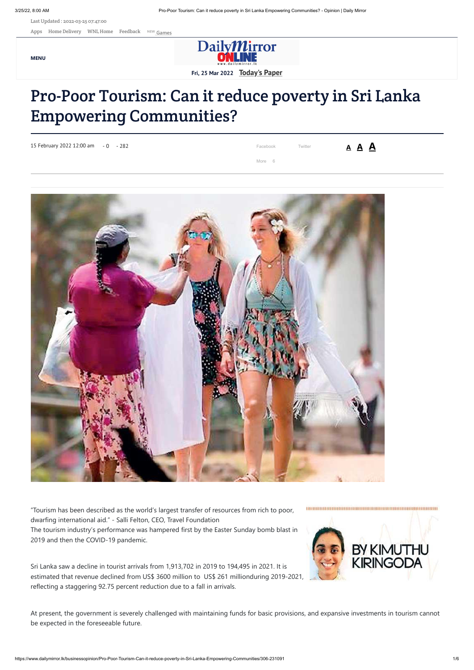https://www.dailymirror.lk/businessopinion/Pro-Poor-Tourism-Can-it-reduce-poverty-in-Sri-Lanka-Empowering-Communities/306-231091 1/6

Last Updated : 2022-03-25 07:47:00

[Apps](https://www.dailymirror.lk/apps/) [Home Delivery](http://pay.wijeyanewspapers.lk/Subscribe/index.aspx) [WNL Home](http://www.wijeyanewspapers.lk/) [Feedback](https://www.dailymirror.lk/feedback) NEW **[Games](https://www.dailymirror.lk/games)** 

**MENU**



**Fri, 25 Mar 2022 [Today's Paper](https://www.dailymirror.lk/print)**

# Pro-Poor Tourism: Can it reduce poverty in Sri Lanka Empowering Communities?

"Tourism has been described as the world's largest transfer of resources from rich to poor, dwarfing international aid." - Salli Felton, CEO, Travel Foundation The tourism industry's performance was hampered first by the Easter Sunday bomb blast in 2019 and then the COVID-19 pandemic.

Sri Lanka saw a decline in tourist arrivals from 1,913,702 in 2019 to 194,495 in 2021. It is estimated that revenue declined from US\$ 3600 million to US\$ 261 millionduring 2019-2021, reflecting a staggering 92.75 percent reduction due to a fall in arrivals.



At present, the government is severely challenged with maintaining funds for basic provisions, and expansive investments in tourism cannot be expected in the foreseeable future.

| 15 February 2022 12:00 am - 0 - 282 | Facebook | Twitter | <u>A A A</u> |
|-------------------------------------|----------|---------|--------------|
|                                     | More 6   |         |              |

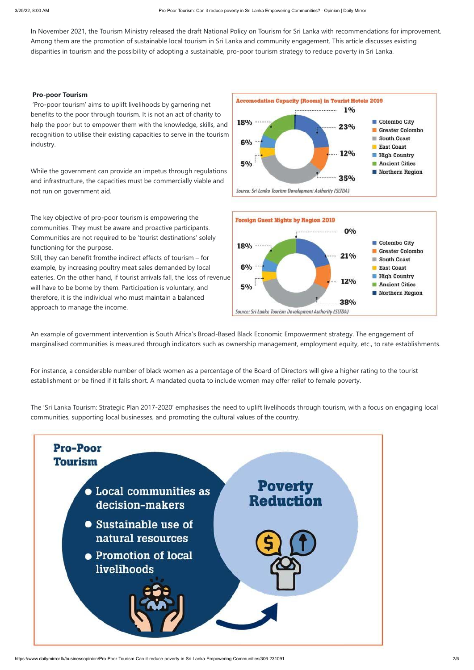In November 2021, the Tourism Ministry released the draft National Policy on Tourism for Sri Lanka with recommendations for improvement. Among them are the promotion of sustainable local tourism in Sri Lanka and community engagement. This article discusses existing disparities in tourism and the possibility of adopting a sustainable, pro-poor tourism strategy to reduce poverty in Sri Lanka.

### **Pro-poor Tourism**

 'Pro-poor tourism' aims to uplift livelihoods by garnering net benefits to the poor through tourism. It is not an act of charity to help the poor but to empower them with the knowledge, skills, and recognition to utilise their existing capacities to serve in the tourism industry.

While the government can provide an impetus through regulations and infrastructure, the capacities must be commercially viable and not run on government aid.

The key objective of pro-poor tourism is empowering the communities. They must be aware and proactive participants. Communities are not required to be 'tourist destinations' solely functioning for the purpose.

Still, they can benefit fromthe indirect effects of tourism – for example, by increasing poultry meat sales demanded by local eateries. On the other hand, if tourist arrivals fall, the loss of revenue will have to be borne by them. Participation is voluntary, and therefore, it is the individual who must maintain a balanced approach to manage the income.





An example of government intervention is South Africa's Broad-Based Black Economic Empowerment strategy. The engagement of marginalised communities is measured through indicators such as ownership management, employment equity, etc., to rate establishments.

For instance, a considerable number of black women as a percentage of the Board of Directors will give a higher rating to the tourist establishment or be fined if it falls short. A mandated quota to include women may offer relief to female poverty.

The 'Sri Lanka Tourism: Strategic Plan 2017-2020' emphasises the need to uplift livelihoods through tourism, with a focus on engaging local communities, supporting local businesses, and promoting the cultural values of the country.

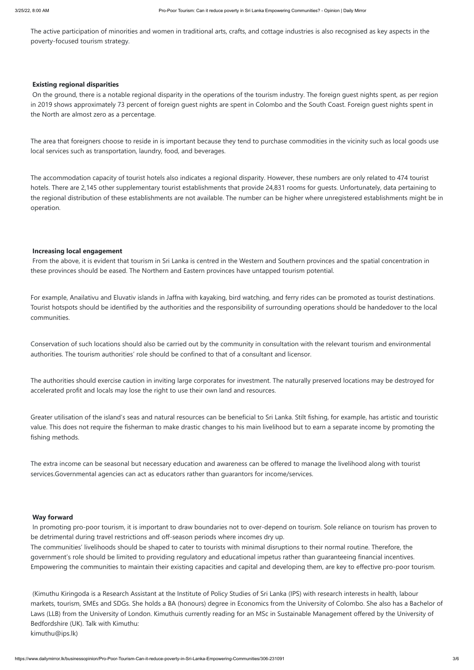The active participation of minorities and women in traditional arts, crafts, and cottage industries is also recognised as key aspects in the poverty-focused tourism strategy.

### **Existing regional disparities**

 On the ground, there is a notable regional disparity in the operations of the tourism industry. The foreign guest nights spent, as per region in 2019 shows approximately 73 percent of foreign guest nights are spent in Colombo and the South Coast. Foreign guest nights spent in the North are almost zero as a percentage.

The area that foreigners choose to reside in is important because they tend to purchase commodities in the vicinity such as local goods use local services such as transportation, laundry, food, and beverages.

The accommodation capacity of tourist hotels also indicates a regional disparity. However, these numbers are only related to 474 tourist hotels. There are 2,145 other supplementary tourist establishments that provide 24,831 rooms for guests. Unfortunately, data pertaining to the regional distribution of these establishments are not available. The number can be higher where unregistered establishments might be in operation.

#### **Increasing local engagement**

 From the above, it is evident that tourism in Sri Lanka is centred in the Western and Southern provinces and the spatial concentration in these provinces should be eased. The Northern and Eastern provinces have untapped tourism potential.

For example, Anailativu and Eluvativ islands in Jaffna with kayaking, bird watching, and ferry rides can be promoted as tourist destinations. Tourist hotspots should be identified by the authorities and the responsibility of surrounding operations should be handedover to the local communities.

Conservation of such locations should also be carried out by the community in consultation with the relevant tourism and environmental authorities. The tourism authorities' role should be confined to that of a consultant and licensor.

The authorities should exercise caution in inviting large corporates for investment. The naturally preserved locations may be destroyed for accelerated profit and locals may lose the right to use their own land and resources.

Greater utilisation of the island's seas and natural resources can be beneficial to Sri Lanka. Stilt fishing, for example, has artistic and touristic value. This does not require the fisherman to make drastic changes to his main livelihood but to earn a separate income by promoting the fishing methods.

The extra income can be seasonal but necessary education and awareness can be offered to manage the livelihood along with tourist services.Governmental agencies can act as educators rather than guarantors for income/services.

### **Way forward**

 In promoting pro-poor tourism, it is important to draw boundaries not to over-depend on tourism. Sole reliance on tourism has proven to be detrimental during travel restrictions and off-season periods where incomes dry up.

The communities' livelihoods should be shaped to cater to tourists with minimal disruptions to their normal routine. Therefore, the government's role should be limited to providing regulatory and educational impetus rather than guaranteeing financial incentives. Empowering the communities to maintain their existing capacities and capital and developing them, are key to effective pro-poor tourism.

 (Kimuthu Kiringoda is a Research Assistant at the Institute of Policy Studies of Sri Lanka (IPS) with research interests in health, labour markets, tourism, SMEs and SDGs. She holds a BA (honours) degree in Economics from the University of Colombo. She also has a Bachelor of Laws (LLB) from the University of London. Kimuthuis currently reading for an MSc in Sustainable Management offered by the University of Bedfordshire (UK). Talk with Kimuthu:

kimuthu@ips.lk)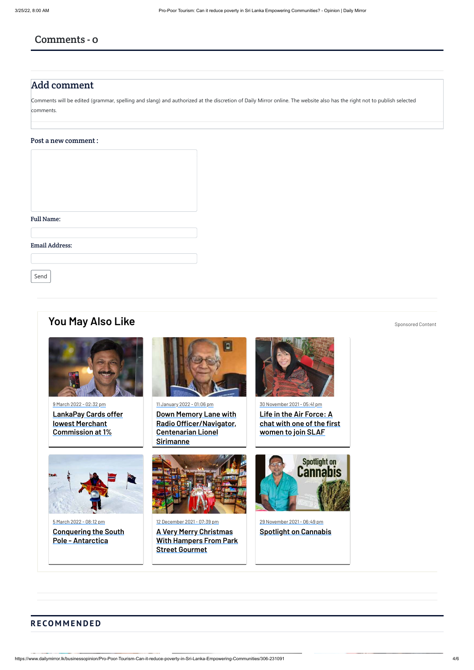## Comments - 0

# Add comment

Comments will be edited (grammar, spelling and slang) and authorized at the discretion of Daily Mirror online. The website also has the right not to publish selected comments.

### Post a new comment :



#### Email Address:

Send

# **[You May Also Like](http://www.dailymirror.lk/you_may_also_like)** [Sponsored Content](http://www.dailymirror.lk/feedback)



9 March 2022 - 02:32 pm **[LankaPay Cards offer](https://www.dailymirror.lk/press-releases/LankaPay-Cards-offer-lowest-Merchant-Commission-at-1/335-232691) lowest Merchant Commission at 1%**









11 January 2022 - 01:06 pm

**Down Memory Lane with [Radio Officer/Navigator,](https://www.life.lk/article/latest_stories/Down-Memory-Lane-with-Radio-Officer/Navigator--Centenarian-Lionel-Sirimanne/1/20012) Centenarian Lionel Sirimanne**



12 December 2021 - 07:39 pm

**A Very Merry Christmas [With Hampers From Park](https://www.life.lk/article/latest_stories/A-Very-Merry-Christmas-With-Hampers-From-Park-Street-Gourmet/1/19967?fbclid=IwAR1Bd1hubYv11OS9CeSH9KnKuENNAALDa7UMO50JnXpJhozbrTbzvl4_1_I) Street Gourmet**

30 November 2021 - 05:41 pm

**Life in the Air Force: A [chat with one of the first](https://www.life.lk/article/latest_stories/Life-in-the-Air-Force:-A-chat-with-one-of-the-first-women-to-join-SLAF/1/19953?fbclid=IwAR0D09B1xnozZ3srX3tM4kpTuKn-qa7cALlR3HsIzW3j_3SJypEjCFz4fmc) women to join SLAF**



29 November 2021 - 06:49 pm

**[Spotlight on Cannabis](https://www.life.lk/article/video/Spotlight-on-Cannabis/3/19951)**

**REAC** 

## **R E CO M M E N D E D**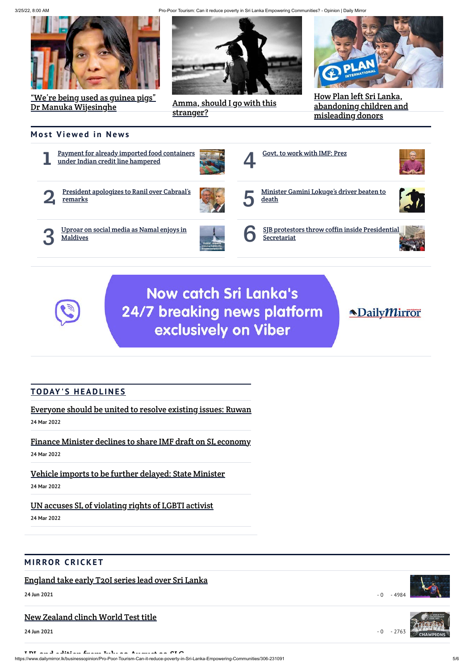3/25/22, 8:00 AM Pro-Poor Tourism: Can it reduce poverty in Sri Lanka Empowering Communities? - Opinion | Daily Mirror



["We're being used as guinea pigs"](https://www.dailymirror.lk/hard-talk/%E2%80%9CWe%E2%80%99re-being-used-as-guinea-pigs%E2%80%9D-Dr-Manuka-Wijesinghe/334-233687) <u>Dr Manuka Wijesinghe</u> [Amma, should I go with this](https://www.dailymirror.lk/eye/Amma--should-I-go-with-this-stranger-/372-233611)

https://www.dailymirror.lk/businessopinion/Pro-Poor-Tourism-Can-it-reduce-poverty-in-Sri-Lanka-Empowering-Communities/306-231091 5/6



 $-0 - 4984$ 



stranger?



How Plan left Sri Lanka, [abandoning children and](https://www.dailymirror.lk/insight/How-Plan-left-Sri-Lanka--abandoning-children-and-misleading-donors/374-233144) misleading donors

## **Most Viewed in News**



# **Now catch Sri Lanka's** 24/7 breaking news platform exclusively on Viber

# **NDailyMirror**

## **TODAY'S HEADLINES**

## [Everyone should be united to resolve existing issues: Ruwan](https://www.dailymirror.lk/print/main_image/Everyone-should-be-united-to-resolve-existing-issues-Ruwan/346-233734)

**24 Mar 2022**

## [Finance Minister declines to share IMF draft on SL economy](https://www.dailymirror.lk/print/front_page/Finance-Minister-declines-to-share-IMF-draft-on-SL-economy/238-233733)

**24 Mar 2022**

## [Vehicle imports to be further delayed: State Minister](https://www.dailymirror.lk/print/front_page/Vehicle-imports-to-be-further-delayed-State-Minister/238-233732)

**24 Mar 2022**

[UN accuses SL of violating rights of LGBTI activist](https://www.dailymirror.lk/print/front_page/UN-accuses-SL-of-violating-rights-of-LGBTI-activist/238-233731)

**24 Mar 2022**

### **MIRROR CRICKET**



[England take early T20I series lead over Sri Lanka](https://www.dailymirror.lk/cricket-news/England-take-early-T20I-series-lead-over-Sri-Lanka/320-214750)

**24 Jun 2021**

### [New Zealand clinch World Test title](https://www.dailymirror.lk/cricket-news/New-Zealand-clinch-World-Test-title/320-214749)

**24 Jun 2021**

[LPL 2nd edition from July 30 August 22 SLC](https://www.dailymirror.lk/top-story-01/LPL-2nd-edition-from-July-30-August-22-SLC/316-213695)